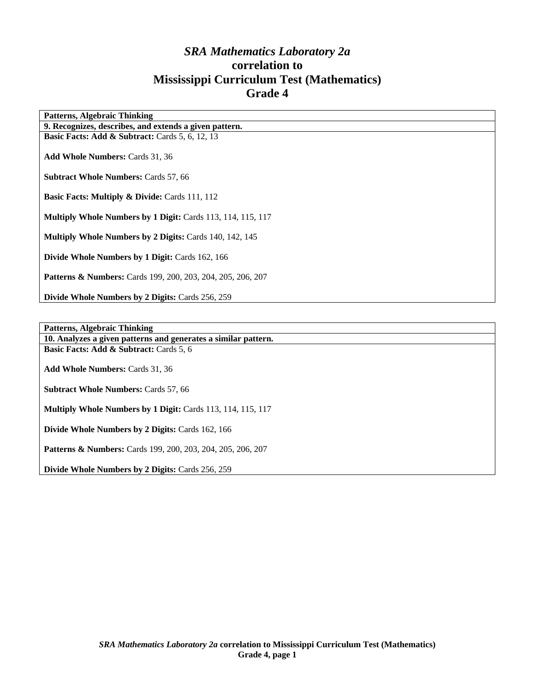# *SRA Mathematics Laboratory 2a*  **correlation to Mississippi Curriculum Test (Mathematics) Grade 4**

| <b>Patterns, Algebraic Thinking</b>                                    |
|------------------------------------------------------------------------|
| 9. Recognizes, describes, and extends a given pattern.                 |
| <b>Basic Facts: Add &amp; Subtract:</b> Cards $5, 6, 12, 13$           |
|                                                                        |
| <b>Add Whole Numbers: Cards 31, 36</b>                                 |
|                                                                        |
| <b>Subtract Whole Numbers: Cards 57, 66</b>                            |
|                                                                        |
| <b>Basic Facts: Multiply &amp; Divide: Cards 111, 112</b>              |
|                                                                        |
| Multiply Whole Numbers by 1 Digit: Cards 113, 114, 115, 117            |
|                                                                        |
| <b>Multiply Whole Numbers by 2 Digits: Cards 140, 142, 145</b>         |
|                                                                        |
| Divide Whole Numbers by 1 Digit: Cards 162, 166                        |
|                                                                        |
| <b>Patterns &amp; Numbers:</b> Cards 199, 200, 203, 204, 205, 206, 207 |
|                                                                        |
| Divide Whole Numbers by 2 Digits: Cards 256, 259                       |
|                                                                        |
|                                                                        |

**Patterns, Algebraic Thinking** 

**10. Analyzes a given patterns and generates a similar pattern. Basic Facts: Add & Subtract: Cards 5, 6** 

**Add Whole Numbers:** Cards 31, 36

**Subtract Whole Numbers:** Cards 57, 66

**Multiply Whole Numbers by 1 Digit:** Cards 113, 114, 115, 117

**Divide Whole Numbers by 2 Digits:** Cards 162, 166

**Patterns & Numbers:** Cards 199, 200, 203, 204, 205, 206, 207

**Divide Whole Numbers by 2 Digits:** Cards 256, 259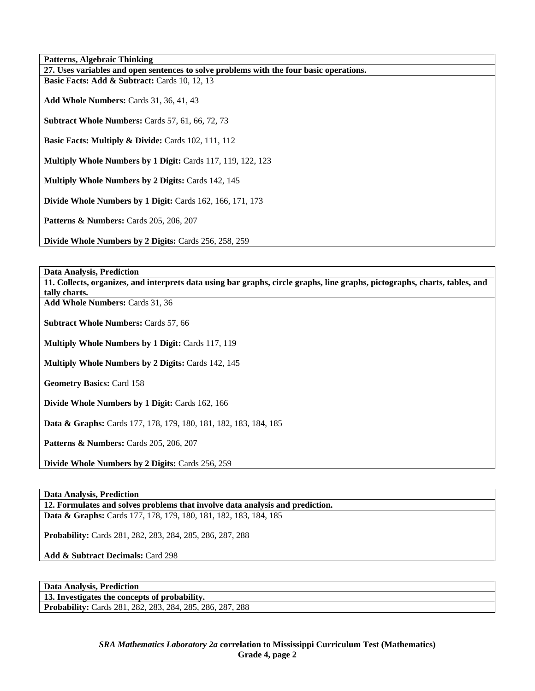| Patterns, Algebraic Thinking                                                            |
|-----------------------------------------------------------------------------------------|
| 27. Uses variables and open sentences to solve problems with the four basic operations. |
| <b>Basic Facts: Add &amp; Subtract:</b> Cards 10, 12, 13                                |
| <b>Add Whole Numbers: Cards 31, 36, 41, 43</b>                                          |
| <b>Subtract Whole Numbers: Cards 57, 61, 66, 72, 73</b>                                 |
| <b>Basic Facts: Multiply &amp; Divide: Cards 102, 111, 112</b>                          |
| Multiply Whole Numbers by 1 Digit: Cards 117, 119, 122, 123                             |
| <b>Multiply Whole Numbers by 2 Digits: Cards 142, 145</b>                               |
| Divide Whole Numbers by 1 Digit: Cards 162, 166, 171, 173                               |
| <b>Patterns &amp; Numbers:</b> Cards 205, 206, 207                                      |
| Divide Whole Numbers by 2 Digits: Cards 256, 258, 259                                   |

**Data Analysis, Prediction** 

**11. Collects, organizes, and interprets data using bar graphs, circle graphs, line graphs, pictographs, charts, tables, and tally charts.** 

**Add Whole Numbers:** Cards 31, 36

**Subtract Whole Numbers:** Cards 57, 66

**Multiply Whole Numbers by 1 Digit:** Cards 117, 119

**Multiply Whole Numbers by 2 Digits:** Cards 142, 145

**Geometry Basics:** Card 158

**Divide Whole Numbers by 1 Digit:** Cards 162, 166

**Data & Graphs:** Cards 177, 178, 179, 180, 181, 182, 183, 184, 185

**Patterns & Numbers:** Cards 205, 206, 207

**Divide Whole Numbers by 2 Digits:** Cards 256, 259

#### **Data Analysis, Prediction**

**12. Formulates and solves problems that involve data analysis and prediction.** 

**Data & Graphs:** Cards 177, 178, 179, 180, 181, 182, 183, 184, 185

**Probability:** Cards 281, 282, 283, 284, 285, 286, 287, 288

**Add & Subtract Decimals:** Card 298

**Data Analysis, Prediction** 

**13. Investigates the concepts of probability.** 

**Probability:** Cards 281, 282, 283, 284, 285, 286, 287, 288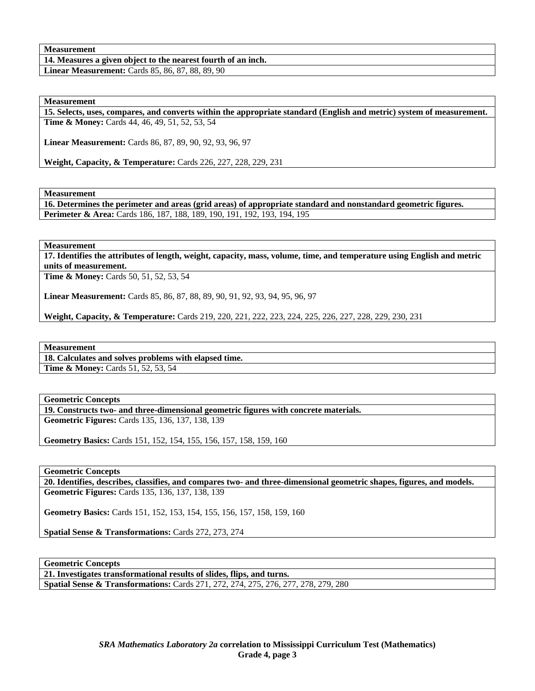## **Measurement**

**14. Measures a given object to the nearest fourth of an inch.** 

**Linear Measurement:** Cards 85, 86, 87, 88, 89, 90

# **Measurement**

**15. Selects, uses, compares, and converts within the appropriate standard (English and metric) system of measurement. Time & Money:** Cards 44, 46, 49, 51, 52, 53, 54

**Linear Measurement:** Cards 86, 87, 89, 90, 92, 93, 96, 97

**Weight, Capacity, & Temperature:** Cards 226, 227, 228, 229, 231

## **Measurement**

**16. Determines the perimeter and areas (grid areas) of appropriate standard and nonstandard geometric figures. Perimeter & Area:** Cards 186, 187, 188, 189, 190, 191, 192, 193, 194, 195

## **Measurement**

**17. Identifies the attributes of length, weight, capacity, mass, volume, time, and temperature using English and metric units of measurement.** 

**Time & Money:** Cards 50, 51, 52, 53, 54

**Linear Measurement:** Cards 85, 86, 87, 88, 89, 90, 91, 92, 93, 94, 95, 96, 97

**Weight, Capacity, & Temperature:** Cards 219, 220, 221, 222, 223, 224, 225, 226, 227, 228, 229, 230, 231

#### **Measurement**

**18. Calculates and solves problems with elapsed time. Time & Money: Cards 51, 52, 53, 54** 

#### **Geometric Concepts**

**19. Constructs two- and three-dimensional geometric figures with concrete materials.** 

**Geometric Figures:** Cards 135, 136, 137, 138, 139

**Geometry Basics:** Cards 151, 152, 154, 155, 156, 157, 158, 159, 160

#### **Geometric Concepts**

**20. Identifies, describes, classifies, and compares two- and three-dimensional geometric shapes, figures, and models. Geometric Figures:** Cards 135, 136, 137, 138, 139

**Geometry Basics:** Cards 151, 152, 153, 154, 155, 156, 157, 158, 159, 160

**Spatial Sense & Transformations:** Cards 272, 273, 274

**Geometric Concepts** 

**21. Investigates transformational results of slides, flips, and turns. Spatial Sense & Transformations:** Cards 271, 272, 274, 275, 276, 277, 278, 279, 280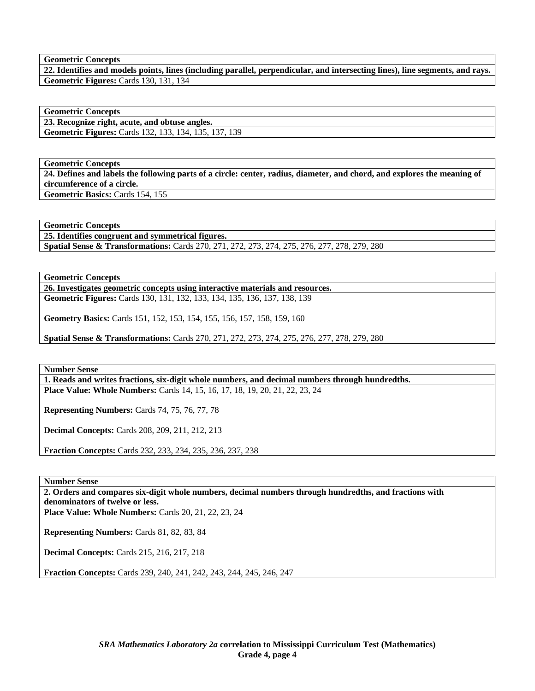**Geometric Concepts** 

**22. Identifies and models points, lines (including parallel, perpendicular, and intersecting lines), line segments, and rays. Geometric Figures:** Cards 130, 131, 134

**Geometric Concepts** 

**23. Recognize right, acute, and obtuse angles. Geometric Figures:** Cards 132, 133, 134, 135, 137, 139

**Geometric Concepts** 

**24. Defines and labels the following parts of a circle: center, radius, diameter, and chord, and explores the meaning of circumference of a circle. Geometric Basics:** Cards 154, 155

**Geometric Concepts** 

**25. Identifies congruent and symmetrical figures.** 

**Spatial Sense & Transformations:** Cards 270, 271, 272, 273, 274, 275, 276, 277, 278, 279, 280

**Geometric Concepts** 

**26. Investigates geometric concepts using interactive materials and resources. Geometric Figures:** Cards 130, 131, 132, 133, 134, 135, 136, 137, 138, 139

**Geometry Basics:** Cards 151, 152, 153, 154, 155, 156, 157, 158, 159, 160

**Spatial Sense & Transformations:** Cards 270, 271, 272, 273, 274, 275, 276, 277, 278, 279, 280

**Number Sense** 

**1. Reads and writes fractions, six-digit whole numbers, and decimal numbers through hundredths. Place Value: Whole Numbers:** Cards 14, 15, 16, 17, 18, 19, 20, 21, 22, 23, 24

**Representing Numbers:** Cards 74, 75, 76, 77, 78

**Decimal Concepts:** Cards 208, 209, 211, 212, 213

**Fraction Concepts:** Cards 232, 233, 234, 235, 236, 237, 238

**Number Sense** 

**2. Orders and compares six-digit whole numbers, decimal numbers through hundredths, and fractions with denominators of twelve or less.** 

**Place Value: Whole Numbers:** Cards 20, 21, 22, 23, 24

**Representing Numbers:** Cards 81, 82, 83, 84

**Decimal Concepts:** Cards 215, 216, 217, 218

**Fraction Concepts:** Cards 239, 240, 241, 242, 243, 244, 245, 246, 247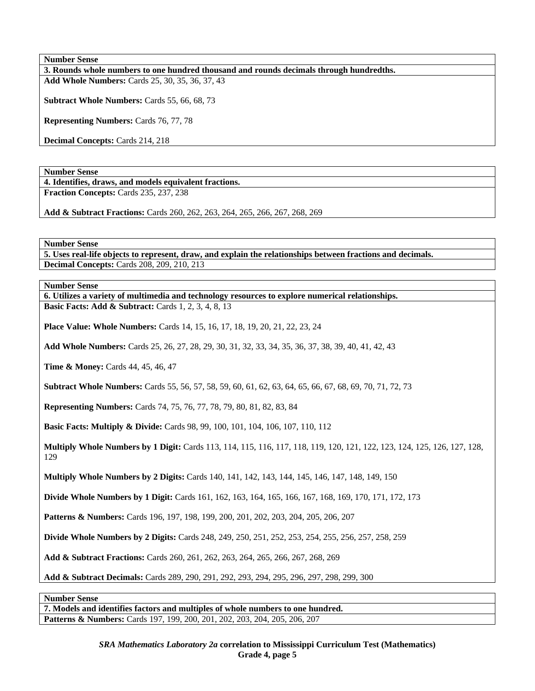**3. Rounds whole numbers to one hundred thousand and rounds decimals through hundredths. Add Whole Numbers:** Cards 25, 30, 35, 36, 37, 43

**Subtract Whole Numbers:** Cards 55, 66, 68, 73

**Representing Numbers:** Cards 76, 77, 78

**Decimal Concepts:** Cards 214, 218

**Number Sense** 

**4. Identifies, draws, and models equivalent fractions.** 

**Fraction Concepts:** Cards 235, 237, 238

**Add & Subtract Fractions:** Cards 260, 262, 263, 264, 265, 266, 267, 268, 269

**Number Sense** 

**5. Uses real-life objects to represent, draw, and explain the relationships between fractions and decimals. Decimal Concepts:** Cards 208, 209, 210, 213

**Number Sense** 

**6. Utilizes a variety of multimedia and technology resources to explore numerical relationships. Basic Facts: Add & Subtract:** Cards 1, 2, 3, 4, 8, 13

**Place Value: Whole Numbers:** Cards 14, 15, 16, 17, 18, 19, 20, 21, 22, 23, 24

**Add Whole Numbers:** Cards 25, 26, 27, 28, 29, 30, 31, 32, 33, 34, 35, 36, 37, 38, 39, 40, 41, 42, 43

**Time & Money:** Cards 44, 45, 46, 47

**Subtract Whole Numbers:** Cards 55, 56, 57, 58, 59, 60, 61, 62, 63, 64, 65, 66, 67, 68, 69, 70, 71, 72, 73

**Representing Numbers:** Cards 74, 75, 76, 77, 78, 79, 80, 81, 82, 83, 84

**Basic Facts: Multiply & Divide:** Cards 98, 99, 100, 101, 104, 106, 107, 110, 112

**Multiply Whole Numbers by 1 Digit:** Cards 113, 114, 115, 116, 117, 118, 119, 120, 121, 122, 123, 124, 125, 126, 127, 128, 129

**Multiply Whole Numbers by 2 Digits:** Cards 140, 141, 142, 143, 144, 145, 146, 147, 148, 149, 150

**Divide Whole Numbers by 1 Digit:** Cards 161, 162, 163, 164, 165, 166, 167, 168, 169, 170, 171, 172, 173

**Patterns & Numbers:** Cards 196, 197, 198, 199, 200, 201, 202, 203, 204, 205, 206, 207

**Divide Whole Numbers by 2 Digits:** Cards 248, 249, 250, 251, 252, 253, 254, 255, 256, 257, 258, 259

**Add & Subtract Fractions:** Cards 260, 261, 262, 263, 264, 265, 266, 267, 268, 269

**Add & Subtract Decimals:** Cards 289, 290, 291, 292, 293, 294, 295, 296, 297, 298, 299, 300

**Number Sense** 

**7. Models and identifies factors and multiples of whole numbers to one hundred. Patterns & Numbers:** Cards 197, 199, 200, 201, 202, 203, 204, 205, 206, 207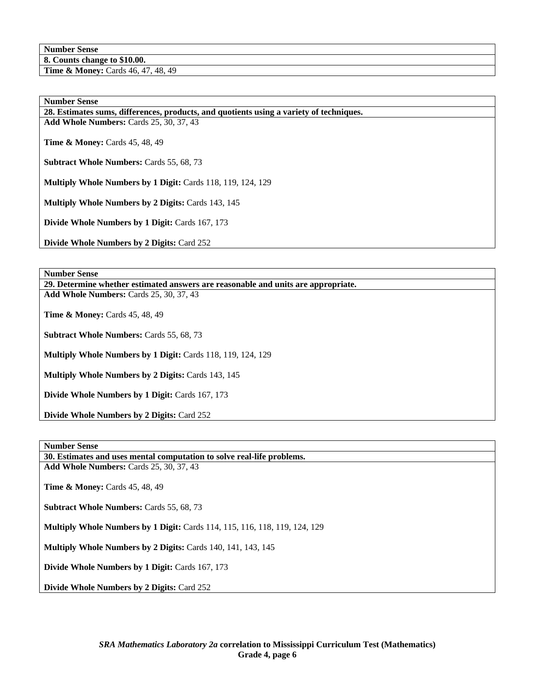**8. Counts change to \$10.00.** 

**Time & Money:** Cards 46, 47, 48, 49

## **Number Sense**

**28. Estimates sums, differences, products, and quotients using a variety of techniques.** 

**Add Whole Numbers:** Cards 25, 30, 37, 43

**Time & Money: Cards 45, 48, 49** 

**Subtract Whole Numbers:** Cards 55, 68, 73

**Multiply Whole Numbers by 1 Digit:** Cards 118, 119, 124, 129

**Multiply Whole Numbers by 2 Digits:** Cards 143, 145

**Divide Whole Numbers by 1 Digit:** Cards 167, 173

**Divide Whole Numbers by 2 Digits:** Card 252

**Number Sense** 

**29. Determine whether estimated answers are reasonable and units are appropriate. Add Whole Numbers:** Cards 25, 30, 37, 43

**Time & Money: Cards 45, 48, 49** 

**Subtract Whole Numbers:** Cards 55, 68, 73

**Multiply Whole Numbers by 1 Digit:** Cards 118, 119, 124, 129

**Multiply Whole Numbers by 2 Digits: Cards 143, 145** 

**Divide Whole Numbers by 1 Digit:** Cards 167, 173

**Divide Whole Numbers by 2 Digits:** Card 252

# **Number Sense**

**30. Estimates and uses mental computation to solve real-life problems.** 

**Add Whole Numbers:** Cards 25, 30, 37, 43

**Time & Money:** Cards 45, 48, 49

**Subtract Whole Numbers: Cards 55, 68, 73** 

**Multiply Whole Numbers by 1 Digit:** Cards 114, 115, 116, 118, 119, 124, 129

**Multiply Whole Numbers by 2 Digits: Cards 140, 141, 143, 145** 

**Divide Whole Numbers by 1 Digit:** Cards 167, 173

**Divide Whole Numbers by 2 Digits:** Card 252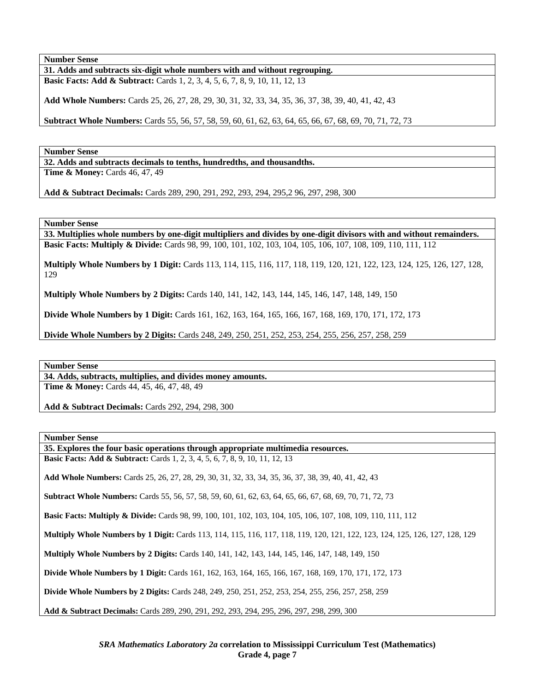**31. Adds and subtracts six-digit whole numbers with and without regrouping. Basic Facts: Add & Subtract:** Cards 1, 2, 3, 4, 5, 6, 7, 8, 9, 10, 11, 12, 13

**Add Whole Numbers:** Cards 25, 26, 27, 28, 29, 30, 31, 32, 33, 34, 35, 36, 37, 38, 39, 40, 41, 42, 43

**Subtract Whole Numbers:** Cards 55, 56, 57, 58, 59, 60, 61, 62, 63, 64, 65, 66, 67, 68, 69, 70, 71, 72, 73

**Number Sense** 

**32. Adds and subtracts decimals to tenths, hundredths, and thousandths. Time & Money: Cards 46, 47, 49** 

**Add & Subtract Decimals:** Cards 289, 290, 291, 292, 293, 294, 295,2 96, 297, 298, 300

**Number Sense** 

**33. Multiplies whole numbers by one-digit multipliers and divides by one-digit divisors with and without remainders. Basic Facts: Multiply & Divide:** Cards 98, 99, 100, 101, 102, 103, 104, 105, 106, 107, 108, 109, 110, 111, 112

**Multiply Whole Numbers by 1 Digit:** Cards 113, 114, 115, 116, 117, 118, 119, 120, 121, 122, 123, 124, 125, 126, 127, 128, 129

**Multiply Whole Numbers by 2 Digits:** Cards 140, 141, 142, 143, 144, 145, 146, 147, 148, 149, 150

**Divide Whole Numbers by 1 Digit:** Cards 161, 162, 163, 164, 165, 166, 167, 168, 169, 170, 171, 172, 173

**Divide Whole Numbers by 2 Digits:** Cards 248, 249, 250, 251, 252, 253, 254, 255, 256, 257, 258, 259

**Number Sense** 

**34. Adds, subtracts, multiplies, and divides money amounts. Time & Money:** Cards 44, 45, 46, 47, 48, 49

**Add & Subtract Decimals:** Cards 292, 294, 298, 300

**Number Sense** 

**35. Explores the four basic operations through appropriate multimedia resources. Basic Facts: Add & Subtract:** Cards 1, 2, 3, 4, 5, 6, 7, 8, 9, 10, 11, 12, 13 **Add Whole Numbers:** Cards 25, 26, 27, 28, 29, 30, 31, 32, 33, 34, 35, 36, 37, 38, 39, 40, 41, 42, 43 **Subtract Whole Numbers:** Cards 55, 56, 57, 58, 59, 60, 61, 62, 63, 64, 65, 66, 67, 68, 69, 70, 71, 72, 73 **Basic Facts: Multiply & Divide:** Cards 98, 99, 100, 101, 102, 103, 104, 105, 106, 107, 108, 109, 110, 111, 112 **Multiply Whole Numbers by 1 Digit:** Cards 113, 114, 115, 116, 117, 118, 119, 120, 121, 122, 123, 124, 125, 126, 127, 128, 129 **Multiply Whole Numbers by 2 Digits:** Cards 140, 141, 142, 143, 144, 145, 146, 147, 148, 149, 150 **Divide Whole Numbers by 1 Digit:** Cards 161, 162, 163, 164, 165, 166, 167, 168, 169, 170, 171, 172, 173 **Divide Whole Numbers by 2 Digits:** Cards 248, 249, 250, 251, 252, 253, 254, 255, 256, 257, 258, 259 **Add & Subtract Decimals:** Cards 289, 290, 291, 292, 293, 294, 295, 296, 297, 298, 299, 300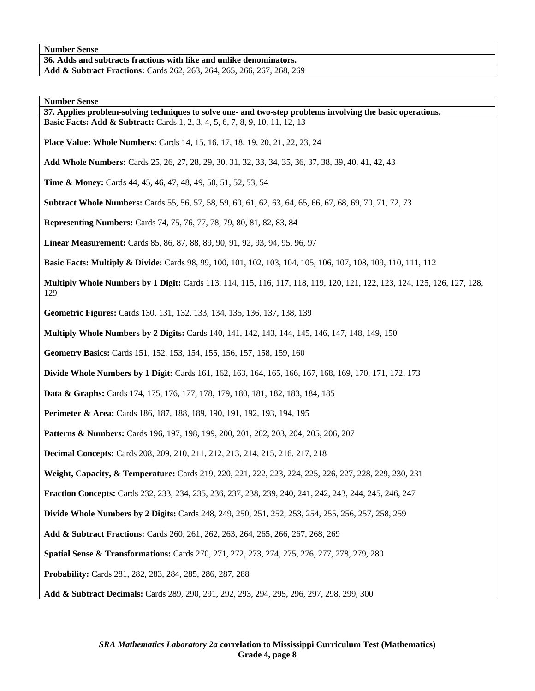**36. Adds and subtracts fractions with like and unlike denominators.** 

**Add & Subtract Fractions:** Cards 262, 263, 264, 265, 266, 267, 268, 269

**Number Sense** 

**37. Applies problem-solving techniques to solve one- and two-step problems involving the basic operations. Basic Facts: Add & Subtract:** Cards 1, 2, 3, 4, 5, 6, 7, 8, 9, 10, 11, 12, 13

**Place Value: Whole Numbers:** Cards 14, 15, 16, 17, 18, 19, 20, 21, 22, 23, 24

**Add Whole Numbers:** Cards 25, 26, 27, 28, 29, 30, 31, 32, 33, 34, 35, 36, 37, 38, 39, 40, 41, 42, 43

**Time & Money:** Cards 44, 45, 46, 47, 48, 49, 50, 51, 52, 53, 54

**Subtract Whole Numbers:** Cards 55, 56, 57, 58, 59, 60, 61, 62, 63, 64, 65, 66, 67, 68, 69, 70, 71, 72, 73

**Representing Numbers:** Cards 74, 75, 76, 77, 78, 79, 80, 81, 82, 83, 84

**Linear Measurement:** Cards 85, 86, 87, 88, 89, 90, 91, 92, 93, 94, 95, 96, 97

**Basic Facts: Multiply & Divide:** Cards 98, 99, 100, 101, 102, 103, 104, 105, 106, 107, 108, 109, 110, 111, 112

**Multiply Whole Numbers by 1 Digit:** Cards 113, 114, 115, 116, 117, 118, 119, 120, 121, 122, 123, 124, 125, 126, 127, 128, 129

**Geometric Figures:** Cards 130, 131, 132, 133, 134, 135, 136, 137, 138, 139

**Multiply Whole Numbers by 2 Digits:** Cards 140, 141, 142, 143, 144, 145, 146, 147, 148, 149, 150

**Geometry Basics:** Cards 151, 152, 153, 154, 155, 156, 157, 158, 159, 160

**Divide Whole Numbers by 1 Digit:** Cards 161, 162, 163, 164, 165, 166, 167, 168, 169, 170, 171, 172, 173

**Data & Graphs:** Cards 174, 175, 176, 177, 178, 179, 180, 181, 182, 183, 184, 185

Perimeter & Area: Cards 186, 187, 188, 189, 190, 191, 192, 193, 194, 195

**Patterns & Numbers:** Cards 196, 197, 198, 199, 200, 201, 202, 203, 204, 205, 206, 207

**Decimal Concepts:** Cards 208, 209, 210, 211, 212, 213, 214, 215, 216, 217, 218

**Weight, Capacity, & Temperature:** Cards 219, 220, 221, 222, 223, 224, 225, 226, 227, 228, 229, 230, 231

**Fraction Concepts:** Cards 232, 233, 234, 235, 236, 237, 238, 239, 240, 241, 242, 243, 244, 245, 246, 247

**Divide Whole Numbers by 2 Digits:** Cards 248, 249, 250, 251, 252, 253, 254, 255, 256, 257, 258, 259

**Add & Subtract Fractions:** Cards 260, 261, 262, 263, 264, 265, 266, 267, 268, 269

**Spatial Sense & Transformations:** Cards 270, 271, 272, 273, 274, 275, 276, 277, 278, 279, 280

**Probability:** Cards 281, 282, 283, 284, 285, 286, 287, 288

**Add & Subtract Decimals:** Cards 289, 290, 291, 292, 293, 294, 295, 296, 297, 298, 299, 300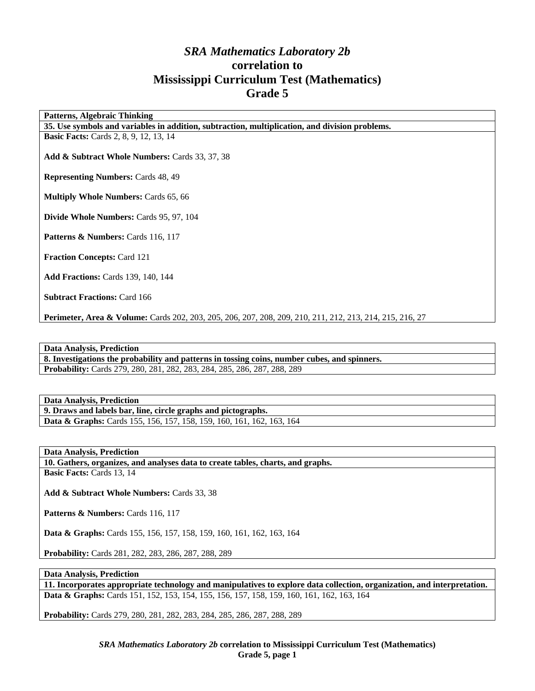# *SRA Mathematics Laboratory 2b*  **correlation to Mississippi Curriculum Test (Mathematics) Grade 5**

**Patterns, Algebraic Thinking** 

**35. Use symbols and variables in addition, subtraction, multiplication, and division problems.** 

**Basic Facts:** Cards 2, 8, 9, 12, 13, 14

**Add & Subtract Whole Numbers:** Cards 33, 37, 38

**Representing Numbers:** Cards 48, 49

**Multiply Whole Numbers:** Cards 65, 66

**Divide Whole Numbers:** Cards 95, 97, 104

**Patterns & Numbers: Cards 116, 117** 

**Fraction Concepts:** Card 121

**Add Fractions:** Cards 139, 140, 144

**Subtract Fractions: Card 166** 

**Perimeter, Area & Volume:** Cards 202, 203, 205, 206, 207, 208, 209, 210, 211, 212, 213, 214, 215, 216, 27

#### **Data Analysis, Prediction**

**8. Investigations the probability and patterns in tossing coins, number cubes, and spinners. Probability:** Cards 279, 280, 281, 282, 283, 284, 285, 286, 287, 288, 289

#### **Data Analysis, Prediction**

**9. Draws and labels bar, line, circle graphs and pictographs. Data & Graphs:** Cards 155, 156, 157, 158, 159, 160, 161, 162, 163, 164

**Data Analysis, Prediction** 

**10. Gathers, organizes, and analyses data to create tables, charts, and graphs. Basic Facts:** Cards 13, 14

**Add & Subtract Whole Numbers:** Cards 33, 38

Patterns & Numbers: Cards 116, 117

**Data & Graphs:** Cards 155, 156, 157, 158, 159, 160, 161, 162, 163, 164

**Probability:** Cards 281, 282, 283, 286, 287, 288, 289

#### **Data Analysis, Prediction**

**11. Incorporates appropriate technology and manipulatives to explore data collection, organization, and interpretation. Data & Graphs:** Cards 151, 152, 153, 154, 155, 156, 157, 158, 159, 160, 161, 162, 163, 164

**Probability:** Cards 279, 280, 281, 282, 283, 284, 285, 286, 287, 288, 289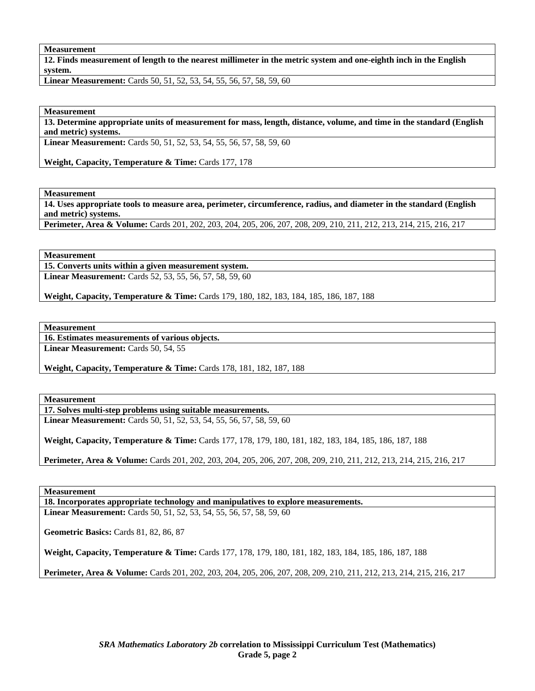### **Measurement**

**12. Finds measurement of length to the nearest millimeter in the metric system and one-eighth inch in the English system.** 

**Linear Measurement:** Cards 50, 51, 52, 53, 54, 55, 56, 57, 58, 59, 60

#### **Measurement**

**13. Determine appropriate units of measurement for mass, length, distance, volume, and time in the standard (English and metric) systems.** 

**Linear Measurement:** Cards 50, 51, 52, 53, 54, 55, 56, 57, 58, 59, 60

Weight, Capacity, Temperature & Time: Cards 177, 178

**Measurement** 

**14. Uses appropriate tools to measure area, perimeter, circumference, radius, and diameter in the standard (English and metric) systems.** 

**Perimeter, Area & Volume:** Cards 201, 202, 203, 204, 205, 206, 207, 208, 209, 210, 211, 212, 213, 214, 215, 216, 217

**Measurement** 

**15. Converts units within a given measurement system.** 

**Linear Measurement:** Cards 52, 53, 55, 56, 57, 58, 59, 60

**Weight, Capacity, Temperature & Time:** Cards 179, 180, 182, 183, 184, 185, 186, 187, 188

**Measurement** 

**16. Estimates measurements of various objects.** 

Linear Measurement: Cards 50, 54, 55

**Weight, Capacity, Temperature & Time: Cards 178, 181, 182, 187, 188** 

**Measurement** 

**17. Solves multi-step problems using suitable measurements. Linear Measurement:** Cards 50, 51, 52, 53, 54, 55, 56, 57, 58, 59, 60

**Weight, Capacity, Temperature & Time:** Cards 177, 178, 179, 180, 181, 182, 183, 184, 185, 186, 187, 188

**Perimeter, Area & Volume:** Cards 201, 202, 203, 204, 205, 206, 207, 208, 209, 210, 211, 212, 213, 214, 215, 216, 217

**Measurement** 

**18. Incorporates appropriate technology and manipulatives to explore measurements. Linear Measurement:** Cards 50, 51, 52, 53, 54, 55, 56, 57, 58, 59, 60

**Geometric Basics:** Cards 81, 82, 86, 87

**Weight, Capacity, Temperature & Time:** Cards 177, 178, 179, 180, 181, 182, 183, 184, 185, 186, 187, 188

**Perimeter, Area & Volume:** Cards 201, 202, 203, 204, 205, 206, 207, 208, 209, 210, 211, 212, 213, 214, 215, 216, 217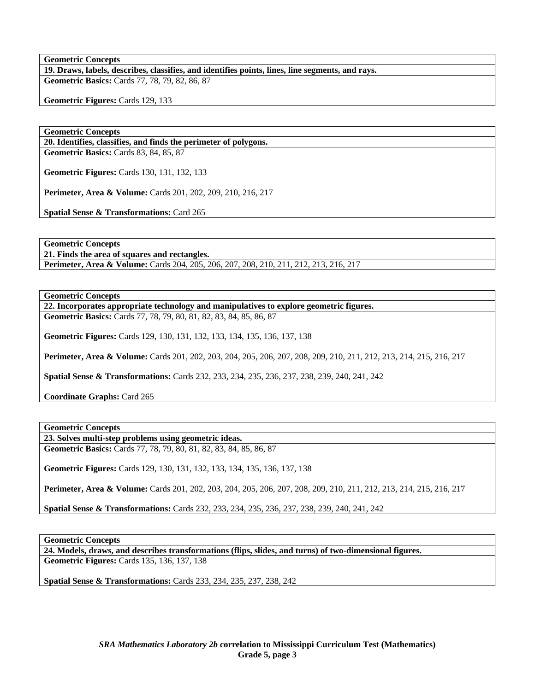# **Geometric Concepts**

**19. Draws, labels, describes, classifies, and identifies points, lines, line segments, and rays. Geometric Basics:** Cards 77, 78, 79, 82, 86, 87

**Geometric Figures:** Cards 129, 133

## **Geometric Concepts**

**20. Identifies, classifies, and finds the perimeter of polygons. Geometric Basics:** Cards 83, 84, 85, 87

**Geometric Figures:** Cards 130, 131, 132, 133

**Perimeter, Area & Volume:** Cards 201, 202, 209, 210, 216, 217

**Spatial Sense & Transformations:** Card 265

**Geometric Concepts** 

**21. Finds the area of squares and rectangles.** 

**Perimeter, Area & Volume:** Cards 204, 205, 206, 207, 208, 210, 211, 212, 213, 216, 217

**Geometric Concepts** 

**22. Incorporates appropriate technology and manipulatives to explore geometric figures.** 

**Geometric Basics:** Cards 77, 78, 79, 80, 81, 82, 83, 84, 85, 86, 87

**Geometric Figures:** Cards 129, 130, 131, 132, 133, 134, 135, 136, 137, 138

**Perimeter, Area & Volume:** Cards 201, 202, 203, 204, 205, 206, 207, 208, 209, 210, 211, 212, 213, 214, 215, 216, 217

**Spatial Sense & Transformations:** Cards 232, 233, 234, 235, 236, 237, 238, 239, 240, 241, 242

**Coordinate Graphs:** Card 265

**Geometric Concepts** 

**23. Solves multi-step problems using geometric ideas.** 

**Geometric Basics:** Cards 77, 78, 79, 80, 81, 82, 83, 84, 85, 86, 87

**Geometric Figures:** Cards 129, 130, 131, 132, 133, 134, 135, 136, 137, 138

**Perimeter, Area & Volume:** Cards 201, 202, 203, 204, 205, 206, 207, 208, 209, 210, 211, 212, 213, 214, 215, 216, 217

**Spatial Sense & Transformations:** Cards 232, 233, 234, 235, 236, 237, 238, 239, 240, 241, 242

**Geometric Concepts** 

**24. Models, draws, and describes transformations (flips, slides, and turns) of two-dimensional figures. Geometric Figures:** Cards 135, 136, 137, 138

**Spatial Sense & Transformations:** Cards 233, 234, 235, 237, 238, 242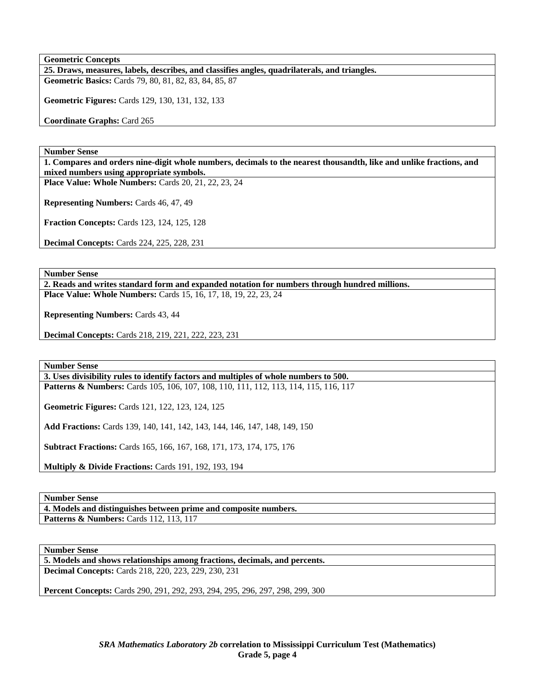**Geometric Concepts** 

**25. Draws, measures, labels, describes, and classifies angles, quadrilaterals, and triangles. Geometric Basics:** Cards 79, 80, 81, 82, 83, 84, 85, 87

**Geometric Figures:** Cards 129, 130, 131, 132, 133

**Coordinate Graphs:** Card 265

**Number Sense** 

**1. Compares and orders nine-digit whole numbers, decimals to the nearest thousandth, like and unlike fractions, and mixed numbers using appropriate symbols.** 

**Place Value: Whole Numbers:** Cards 20, 21, 22, 23, 24

**Representing Numbers:** Cards 46, 47, 49

**Fraction Concepts:** Cards 123, 124, 125, 128

**Decimal Concepts:** Cards 224, 225, 228, 231

**Number Sense** 

**2. Reads and writes standard form and expanded notation for numbers through hundred millions. Place Value: Whole Numbers:** Cards 15, 16, 17, 18, 19, 22, 23, 24

**Representing Numbers:** Cards 43, 44

**Decimal Concepts:** Cards 218, 219, 221, 222, 223, 231

**Number Sense** 

**3. Uses divisibility rules to identify factors and multiples of whole numbers to 500. Patterns & Numbers:** Cards 105, 106, 107, 108, 110, 111, 112, 113, 114, 115, 116, 117

**Geometric Figures:** Cards 121, 122, 123, 124, 125

**Add Fractions:** Cards 139, 140, 141, 142, 143, 144, 146, 147, 148, 149, 150

**Subtract Fractions:** Cards 165, 166, 167, 168, 171, 173, 174, 175, 176

**Multiply & Divide Fractions: Cards 191, 192, 193, 194** 

**Number Sense** 

**4. Models and distinguishes between prime and composite numbers. Patterns & Numbers: Cards 112, 113, 117** 

**Number Sense** 

**5. Models and shows relationships among fractions, decimals, and percents. Decimal Concepts:** Cards 218, 220, 223, 229, 230, 231

**Percent Concepts:** Cards 290, 291, 292, 293, 294, 295, 296, 297, 298, 299, 300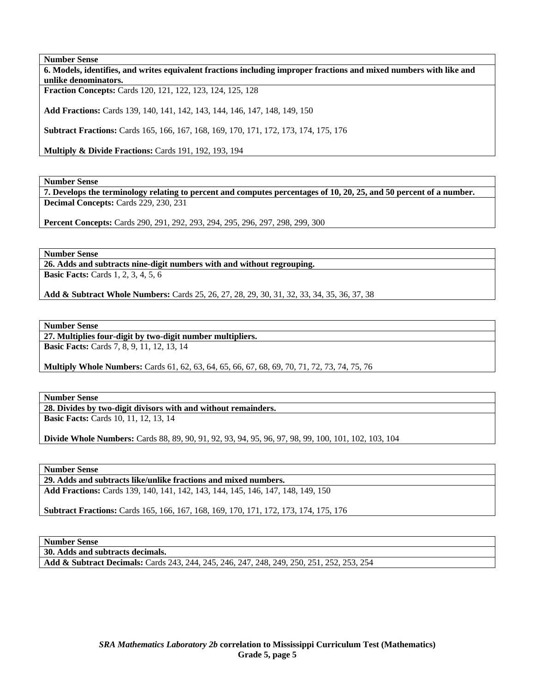**Number Sense 6. Models, identifies, and writes equivalent fractions including improper fractions and mixed numbers with like and unlike denominators. Fraction Concepts:** Cards 120, 121, 122, 123, 124, 125, 128

**Add Fractions:** Cards 139, 140, 141, 142, 143, 144, 146, 147, 148, 149, 150

**Subtract Fractions:** Cards 165, 166, 167, 168, 169, 170, 171, 172, 173, 174, 175, 176

**Multiply & Divide Fractions: Cards 191, 192, 193, 194** 

**Number Sense** 

**7. Develops the terminology relating to percent and computes percentages of 10, 20, 25, and 50 percent of a number. Decimal Concepts:** Cards 229, 230, 231

**Percent Concepts:** Cards 290, 291, 292, 293, 294, 295, 296, 297, 298, 299, 300

**Number Sense** 

**26. Adds and subtracts nine-digit numbers with and without regrouping.** 

**Basic Facts:** Cards 1, 2, 3, 4, 5, 6

**Add & Subtract Whole Numbers:** Cards 25, 26, 27, 28, 29, 30, 31, 32, 33, 34, 35, 36, 37, 38

**Number Sense** 

**27. Multiplies four-digit by two-digit number multipliers. Basic Facts:** Cards 7, 8, 9, 11, 12, 13, 14

**Multiply Whole Numbers:** Cards 61, 62, 63, 64, 65, 66, 67, 68, 69, 70, 71, 72, 73, 74, 75, 76

**Number Sense** 

**28. Divides by two-digit divisors with and without remainders.** 

**Basic Facts:** Cards 10, 11, 12, 13, 14

**Divide Whole Numbers:** Cards 88, 89, 90, 91, 92, 93, 94, 95, 96, 97, 98, 99, 100, 101, 102, 103, 104

**Number Sense** 

**29. Adds and subtracts like/unlike fractions and mixed numbers. Add Fractions:** Cards 139, 140, 141, 142, 143, 144, 145, 146, 147, 148, 149, 150

**Subtract Fractions:** Cards 165, 166, 167, 168, 169, 170, 171, 172, 173, 174, 175, 176

**Number Sense** 

**30. Adds and subtracts decimals.** 

**Add & Subtract Decimals:** Cards 243, 244, 245, 246, 247, 248, 249, 250, 251, 252, 253, 254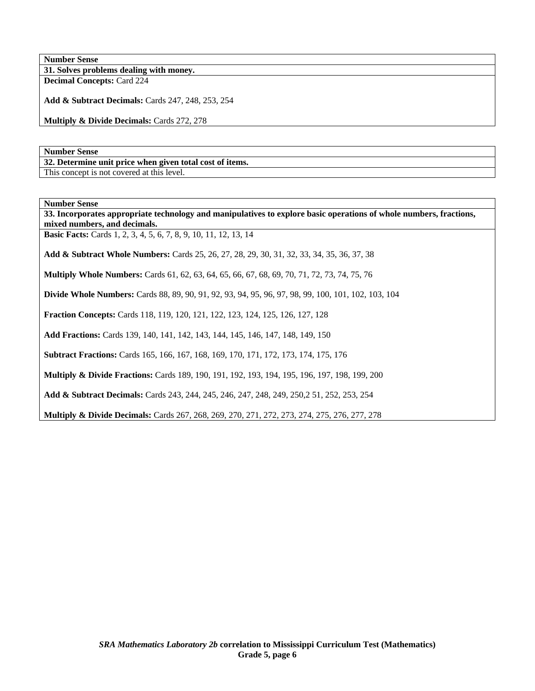**31. Solves problems dealing with money. Decimal Concepts:** Card 224

**Add & Subtract Decimals:** Cards 247, 248, 253, 254

**Multiply & Divide Decimals:** Cards 272, 278

**Number Sense** 

**32. Determine unit price when given total cost of items.**  This concept is not covered at this level.

**Number Sense** 

**33. Incorporates appropriate technology and manipulatives to explore basic operations of whole numbers, fractions, mixed numbers, and decimals.** 

**Basic Facts:** Cards 1, 2, 3, 4, 5, 6, 7, 8, 9, 10, 11, 12, 13, 14

**Add & Subtract Whole Numbers:** Cards 25, 26, 27, 28, 29, 30, 31, 32, 33, 34, 35, 36, 37, 38

**Multiply Whole Numbers:** Cards 61, 62, 63, 64, 65, 66, 67, 68, 69, 70, 71, 72, 73, 74, 75, 76

**Divide Whole Numbers:** Cards 88, 89, 90, 91, 92, 93, 94, 95, 96, 97, 98, 99, 100, 101, 102, 103, 104

**Fraction Concepts:** Cards 118, 119, 120, 121, 122, 123, 124, 125, 126, 127, 128

**Add Fractions:** Cards 139, 140, 141, 142, 143, 144, 145, 146, 147, 148, 149, 150

**Subtract Fractions:** Cards 165, 166, 167, 168, 169, 170, 171, 172, 173, 174, 175, 176

**Multiply & Divide Fractions:** Cards 189, 190, 191, 192, 193, 194, 195, 196, 197, 198, 199, 200

**Add & Subtract Decimals:** Cards 243, 244, 245, 246, 247, 248, 249, 250,2 51, 252, 253, 254

**Multiply & Divide Decimals:** Cards 267, 268, 269, 270, 271, 272, 273, 274, 275, 276, 277, 278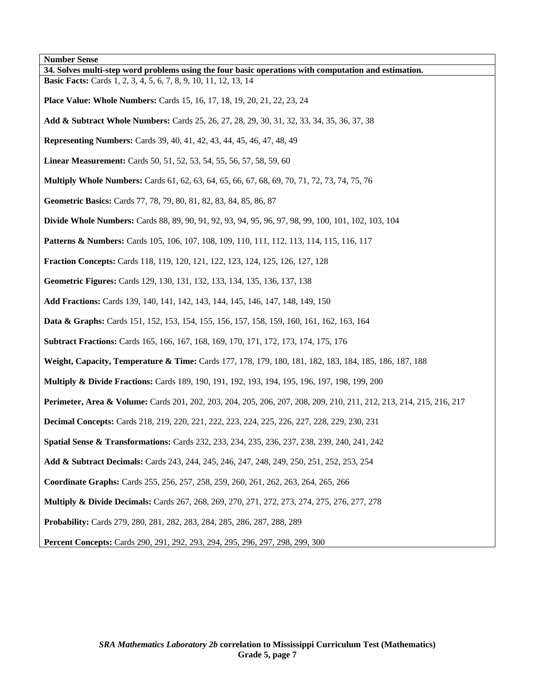**Number Sense 34. Solves multi-step word problems using the four basic operations with computation and estimation. Basic Facts:** Cards 1, 2, 3, 4, 5, 6, 7, 8, 9, 10, 11, 12, 13, 14 **Place Value: Whole Numbers:** Cards 15, 16, 17, 18, 19, 20, 21, 22, 23, 24 **Add & Subtract Whole Numbers:** Cards 25, 26, 27, 28, 29, 30, 31, 32, 33, 34, 35, 36, 37, 38 **Representing Numbers:** Cards 39, 40, 41, 42, 43, 44, 45, 46, 47, 48, 49 **Linear Measurement:** Cards 50, 51, 52, 53, 54, 55, 56, 57, 58, 59, 60 **Multiply Whole Numbers:** Cards 61, 62, 63, 64, 65, 66, 67, 68, 69, 70, 71, 72, 73, 74, 75, 76 **Geometric Basics:** Cards 77, 78, 79, 80, 81, 82, 83, 84, 85, 86, 87 **Divide Whole Numbers:** Cards 88, 89, 90, 91, 92, 93, 94, 95, 96, 97, 98, 99, 100, 101, 102, 103, 104 **Patterns & Numbers:** Cards 105, 106, 107, 108, 109, 110, 111, 112, 113, 114, 115, 116, 117 **Fraction Concepts:** Cards 118, 119, 120, 121, 122, 123, 124, 125, 126, 127, 128 **Geometric Figures:** Cards 129, 130, 131, 132, 133, 134, 135, 136, 137, 138 **Add Fractions:** Cards 139, 140, 141, 142, 143, 144, 145, 146, 147, 148, 149, 150 **Data & Graphs:** Cards 151, 152, 153, 154, 155, 156, 157, 158, 159, 160, 161, 162, 163, 164 **Subtract Fractions:** Cards 165, 166, 167, 168, 169, 170, 171, 172, 173, 174, 175, 176 **Weight, Capacity, Temperature & Time:** Cards 177, 178, 179, 180, 181, 182, 183, 184, 185, 186, 187, 188 **Multiply & Divide Fractions:** Cards 189, 190, 191, 192, 193, 194, 195, 196, 197, 198, 199, 200 **Perimeter, Area & Volume:** Cards 201, 202, 203, 204, 205, 206, 207, 208, 209, 210, 211, 212, 213, 214, 215, 216, 217 **Decimal Concepts:** Cards 218, 219, 220, 221, 222, 223, 224, 225, 226, 227, 228, 229, 230, 231 **Spatial Sense & Transformations:** Cards 232, 233, 234, 235, 236, 237, 238, 239, 240, 241, 242 **Add & Subtract Decimals:** Cards 243, 244, 245, 246, 247, 248, 249, 250, 251, 252, 253, 254 **Coordinate Graphs:** Cards 255, 256, 257, 258, 259, 260, 261, 262, 263, 264, 265, 266 **Multiply & Divide Decimals:** Cards 267, 268, 269, 270, 271, 272, 273, 274, 275, 276, 277, 278 **Probability:** Cards 279, 280, 281, 282, 283, 284, 285, 286, 287, 288, 289 **Percent Concepts:** Cards 290, 291, 292, 293, 294, 295, 296, 297, 298, 299, 300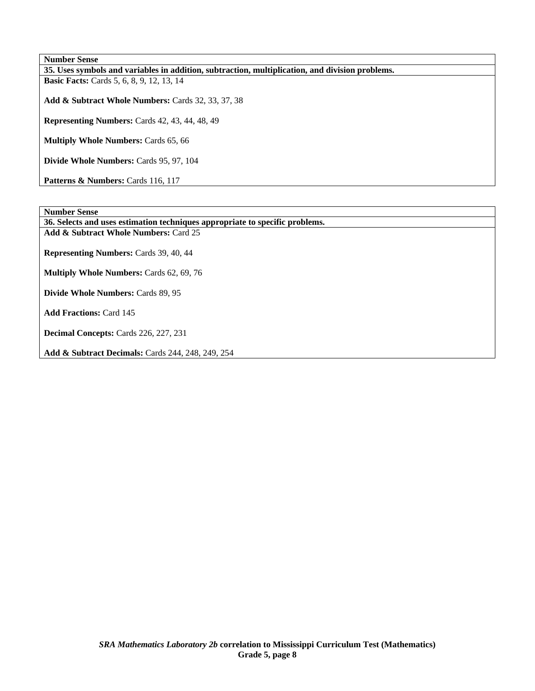**Number Sense 35. Uses symbols and variables in addition, subtraction, multiplication, and division problems. Basic Facts:** Cards 5, 6, 8, 9, 12, 13, 14 **Add & Subtract Whole Numbers:** Cards 32, 33, 37, 38

**Representing Numbers:** Cards 42, 43, 44, 48, 49

**Multiply Whole Numbers:** Cards 65, 66

**Divide Whole Numbers:** Cards 95, 97, 104

Patterns & Numbers: Cards 116, 117

**Number Sense** 

**36. Selects and uses estimation techniques appropriate to specific problems.** 

**Add & Subtract Whole Numbers:** Card 25

**Representing Numbers:** Cards 39, 40, 44

**Multiply Whole Numbers:** Cards 62, 69, 76

**Divide Whole Numbers:** Cards 89, 95

**Add Fractions:** Card 145

**Decimal Concepts:** Cards 226, 227, 231

**Add & Subtract Decimals:** Cards 244, 248, 249, 254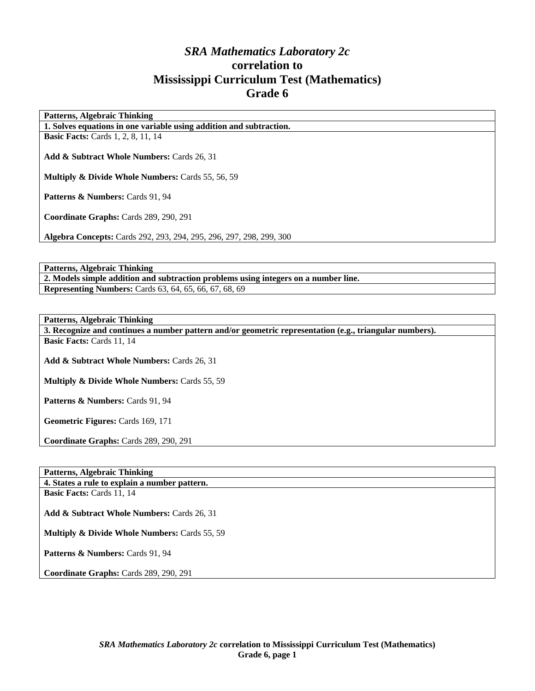# *SRA Mathematics Laboratory 2c*  **correlation to Mississippi Curriculum Test (Mathematics) Grade 6**

**Patterns, Algebraic Thinking** 

**1. Solves equations in one variable using addition and subtraction.** 

**Basic Facts: Cards 1, 2, 8, 11, 14** 

**Add & Subtract Whole Numbers:** Cards 26, 31

**Multiply & Divide Whole Numbers:** Cards 55, 56, 59

Patterns & Numbers: Cards 91, 94

**Coordinate Graphs:** Cards 289, 290, 291

**Algebra Concepts:** Cards 292, 293, 294, 295, 296, 297, 298, 299, 300

**Patterns, Algebraic Thinking** 

**2. Models simple addition and subtraction problems using integers on a number line. Representing Numbers:** Cards 63, 64, 65, 66, 67, 68, 69

**Patterns, Algebraic Thinking** 

**3. Recognize and continues a number pattern and/or geometric representation (e.g., triangular numbers). Basic Facts:** Cards 11, 14

**Add & Subtract Whole Numbers:** Cards 26, 31

**Multiply & Divide Whole Numbers:** Cards 55, 59

Patterns & Numbers: Cards 91, 94

**Geometric Figures:** Cards 169, 171

**Coordinate Graphs:** Cards 289, 290, 291

# **Patterns, Algebraic Thinking**

**4. States a rule to explain a number pattern. Basic Facts:** Cards 11, 14

**Add & Subtract Whole Numbers:** Cards 26, 31

**Multiply & Divide Whole Numbers:** Cards 55, 59

Patterns & Numbers: Cards 91, 94

**Coordinate Graphs:** Cards 289, 290, 291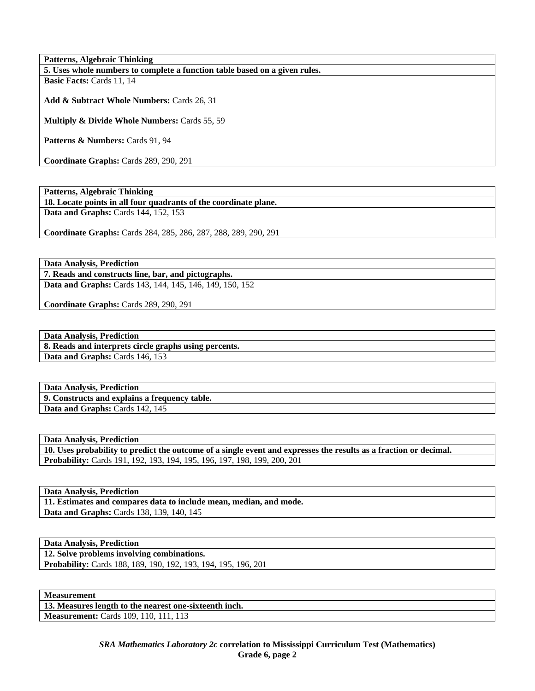**Patterns, Algebraic Thinking 5. Uses whole numbers to complete a function table based on a given rules. Basic Facts:** Cards 11, 14

**Add & Subtract Whole Numbers:** Cards 26, 31

**Multiply & Divide Whole Numbers:** Cards 55, 59

Patterns & Numbers: Cards 91, 94

**Coordinate Graphs:** Cards 289, 290, 291

**Patterns, Algebraic Thinking** 

**18. Locate points in all four quadrants of the coordinate plane. Data and Graphs: Cards 144, 152, 153** 

**Coordinate Graphs:** Cards 284, 285, 286, 287, 288, 289, 290, 291

**Data Analysis, Prediction 7. Reads and constructs line, bar, and pictographs. Data and Graphs:** Cards 143, 144, 145, 146, 149, 150, 152

**Coordinate Graphs:** Cards 289, 290, 291

**Data Analysis, Prediction 8. Reads and interprets circle graphs using percents. Data and Graphs: Cards 146, 153** 

**Data Analysis, Prediction 9. Constructs and explains a frequency table.**  Data and Graphs: Cards 142, 145

**Data Analysis, Prediction** 

**10. Uses probability to predict the outcome of a single event and expresses the results as a fraction or decimal. Probability:** Cards 191, 192, 193, 194, 195, 196, 197, 198, 199, 200, 201

**Data Analysis, Prediction** 

**11. Estimates and compares data to include mean, median, and mode. Data and Graphs:** Cards 138, 139, 140, 145

**Data Analysis, Prediction** 

**12. Solve problems involving combinations.** 

**Probability:** Cards 188, 189, 190, 192, 193, 194, 195, 196, 201

**Measurement** 

**13. Measures length to the nearest one-sixteenth inch. Measurement:** Cards 109, 110, 111, 113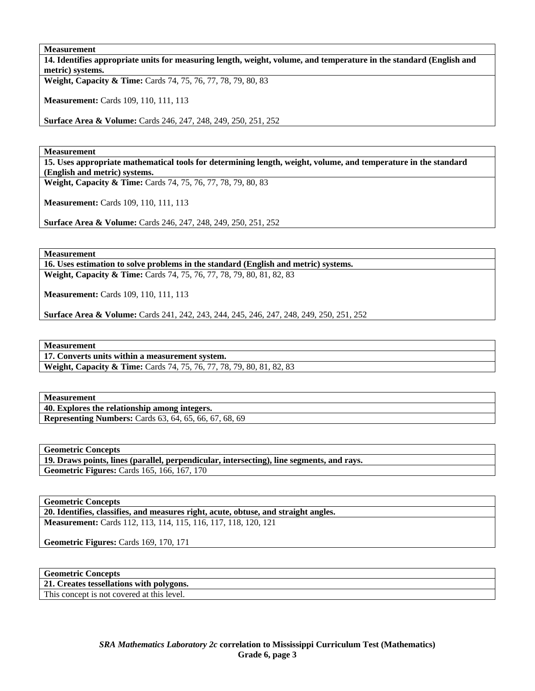### **Measurement**

**14. Identifies appropriate units for measuring length, weight, volume, and temperature in the standard (English and metric) systems.** 

**Weight, Capacity & Time:** Cards 74, 75, 76, 77, 78, 79, 80, 83

**Measurement:** Cards 109, 110, 111, 113

**Surface Area & Volume:** Cards 246, 247, 248, 249, 250, 251, 252

**Measurement** 

**15. Uses appropriate mathematical tools for determining length, weight, volume, and temperature in the standard (English and metric) systems.** 

**Weight, Capacity & Time:** Cards 74, 75, 76, 77, 78, 79, 80, 83

**Measurement:** Cards 109, 110, 111, 113

**Surface Area & Volume:** Cards 246, 247, 248, 249, 250, 251, 252

**Measurement** 

**16. Uses estimation to solve problems in the standard (English and metric) systems.** 

**Weight, Capacity & Time:** Cards 74, 75, 76, 77, 78, 79, 80, 81, 82, 83

**Measurement:** Cards 109, 110, 111, 113

**Surface Area & Volume:** Cards 241, 242, 243, 244, 245, 246, 247, 248, 249, 250, 251, 252

**Measurement** 

**17. Converts units within a measurement system.** 

**Weight, Capacity & Time:** Cards 74, 75, 76, 77, 78, 79, 80, 81, 82, 83

# **Measurement**

**40. Explores the relationship among integers. Representing Numbers:** Cards 63, 64, 65, 66, 67, 68, 69

**Geometric Concepts** 

**19. Draws points, lines (parallel, perpendicular, intersecting), line segments, and rays. Geometric Figures:** Cards 165, 166, 167, 170

**Geometric Concepts** 

**20. Identifies, classifies, and measures right, acute, obtuse, and straight angles. Measurement:** Cards 112, 113, 114, 115, 116, 117, 118, 120, 121

**Geometric Figures:** Cards 169, 170, 171

**21. Creates tessellations with polygons.**  This concept is not covered at this level.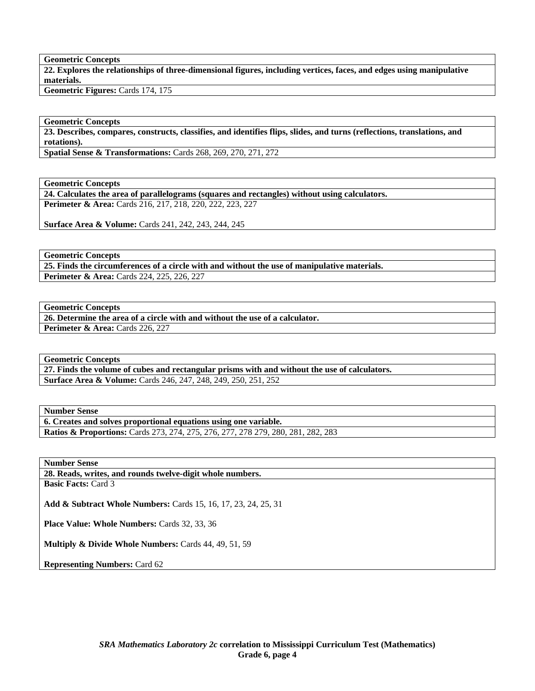**Geometric Concepts** 

**22. Explores the relationships of three-dimensional figures, including vertices, faces, and edges using manipulative materials.** 

**Geometric Figures:** Cards 174, 175

# **Geometric Concepts**

**23. Describes, compares, constructs, classifies, and identifies flips, slides, and turns (reflections, translations, and rotations).** 

**Spatial Sense & Transformations:** Cards 268, 269, 270, 271, 272

**Geometric Concepts** 

**24. Calculates the area of parallelograms (squares and rectangles) without using calculators. Perimeter & Area:** Cards 216, 217, 218, 220, 222, 223, 227

**Surface Area & Volume:** Cards 241, 242, 243, 244, 245

**Geometric Concepts** 

**25. Finds the circumferences of a circle with and without the use of manipulative materials. Perimeter & Area:** Cards 224, 225, 226, 227

**Geometric Concepts** 

**26. Determine the area of a circle with and without the use of a calculator. Perimeter & Area: Cards 226, 227** 

**Geometric Concepts** 

**27. Finds the volume of cubes and rectangular prisms with and without the use of calculators. Surface Area & Volume:** Cards 246, 247, 248, 249, 250, 251, 252

**Number Sense** 

**6. Creates and solves proportional equations using one variable. Ratios & Proportions:** Cards 273, 274, 275, 276, 277, 278 279, 280, 281, 282, 283

**Number Sense** 

**28. Reads, writes, and rounds twelve-digit whole numbers.** 

**Basic Facts:** Card 3

**Add & Subtract Whole Numbers:** Cards 15, 16, 17, 23, 24, 25, 31

Place Value: Whole Numbers: Cards 32, 33, 36

**Multiply & Divide Whole Numbers:** Cards 44, 49, 51, 59

**Representing Numbers:** Card 62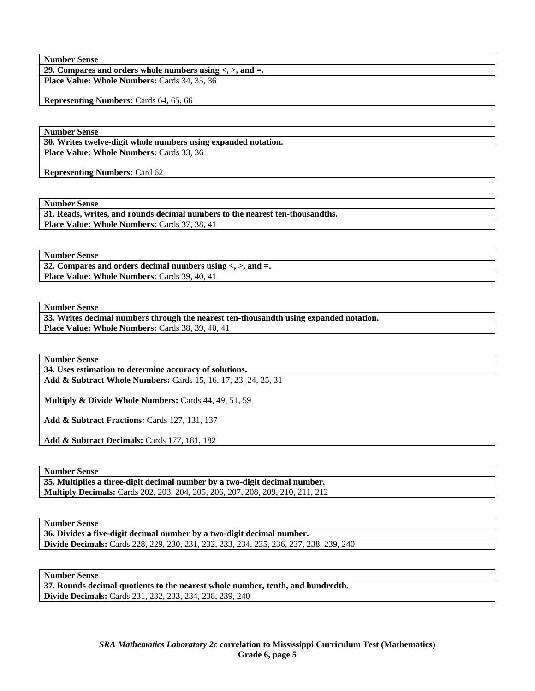**29. Compares and orders whole numbers using <, >, and =.**  Place Value: Whole Numbers: Cards 34, 35, 36

**Representing Numbers:** Cards 64, 65, 66

**Number Sense** 

**30. Writes twelve-digit whole numbers using expanded notation. Place Value: Whole Numbers:** Cards 33, 36

**Representing Numbers:** Card 62

**Number Sense** 

**31. Reads, writes, and rounds decimal numbers to the nearest ten-thousandths.**  Place Value: Whole Numbers: Cards 37, 38, 41

**Number Sense** 

**32. Compares and orders decimal numbers using <, >, and =.**  Place Value: Whole Numbers: Cards 39, 40, 41

**Number Sense** 

**33. Writes decimal numbers through the nearest ten-thousandth using expanded notation.**  Place Value: Whole Numbers: Cards 38, 39, 40, 41

**Number Sense** 

**34. Uses estimation to determine accuracy of solutions. Add & Subtract Whole Numbers:** Cards 15, 16, 17, 23, 24, 25, 31

**Multiply & Divide Whole Numbers:** Cards 44, 49, 51, 59

**Add & Subtract Fractions:** Cards 127, 131, 137

**Add & Subtract Decimals:** Cards 177, 181, 182

**Number Sense** 

**35. Multiplies a three-digit decimal number by a two-digit decimal number. Multiply Decimals:** Cards 202, 203, 204, 205, 206, 207, 208, 209, 210, 211, 212

**Number Sense** 

**36. Divides a five-digit decimal number by a two-digit decimal number. Divide Decimals:** Cards 228, 229, 230, 231, 232, 233, 234, 235, 236, 237, 238, 239, 240

**Number Sense** 

**37. Rounds decimal quotients to the nearest whole number, tenth, and hundredth. Divide Decimals:** Cards 231, 232, 233, 234, 238, 239, 240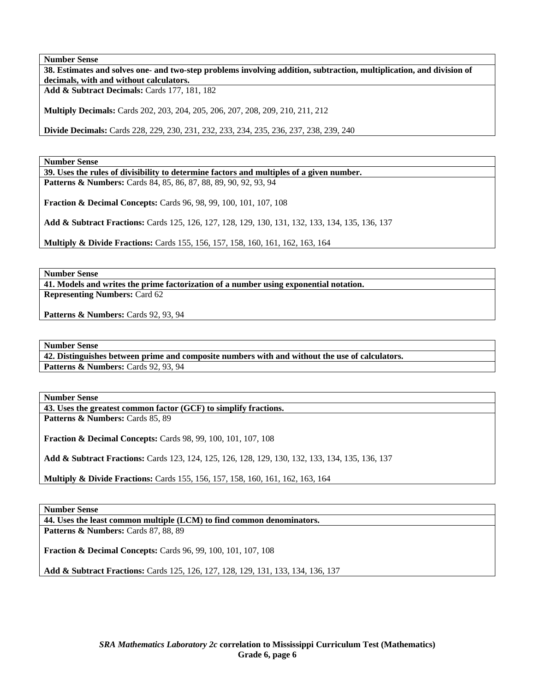**38. Estimates and solves one- and two-step problems involving addition, subtraction, multiplication, and division of decimals, with and without calculators.** 

**Add & Subtract Decimals:** Cards 177, 181, 182

**Multiply Decimals:** Cards 202, 203, 204, 205, 206, 207, 208, 209, 210, 211, 212

**Divide Decimals:** Cards 228, 229, 230, 231, 232, 233, 234, 235, 236, 237, 238, 239, 240

**Number Sense** 

**39. Uses the rules of divisibility to determine factors and multiples of a given number.**  Patterns & Numbers: Cards 84, 85, 86, 87, 88, 89, 90, 92, 93, 94

**Fraction & Decimal Concepts:** Cards 96, 98, 99, 100, 101, 107, 108

**Add & Subtract Fractions:** Cards 125, 126, 127, 128, 129, 130, 131, 132, 133, 134, 135, 136, 137

**Multiply & Divide Fractions:** Cards 155, 156, 157, 158, 160, 161, 162, 163, 164

**Number Sense** 

**41. Models and writes the prime factorization of a number using exponential notation. Representing Numbers:** Card 62

**Patterns & Numbers:** Cards 92, 93, 94

**Number Sense** 

**42. Distinguishes between prime and composite numbers with and without the use of calculators. Patterns & Numbers: Cards 92, 93, 94** 

**Number Sense** 

**43. Uses the greatest common factor (GCF) to simplify fractions.** 

Patterns & Numbers: Cards 85, 89

**Fraction & Decimal Concepts:** Cards 98, 99, 100, 101, 107, 108

**Add & Subtract Fractions:** Cards 123, 124, 125, 126, 128, 129, 130, 132, 133, 134, 135, 136, 137

**Multiply & Divide Fractions:** Cards 155, 156, 157, 158, 160, 161, 162, 163, 164

**Number Sense** 

**44. Uses the least common multiple (LCM) to find common denominators.** 

**Patterns & Numbers: Cards 87, 88, 89** 

**Fraction & Decimal Concepts:** Cards 96, 99, 100, 101, 107, 108

**Add & Subtract Fractions:** Cards 125, 126, 127, 128, 129, 131, 133, 134, 136, 137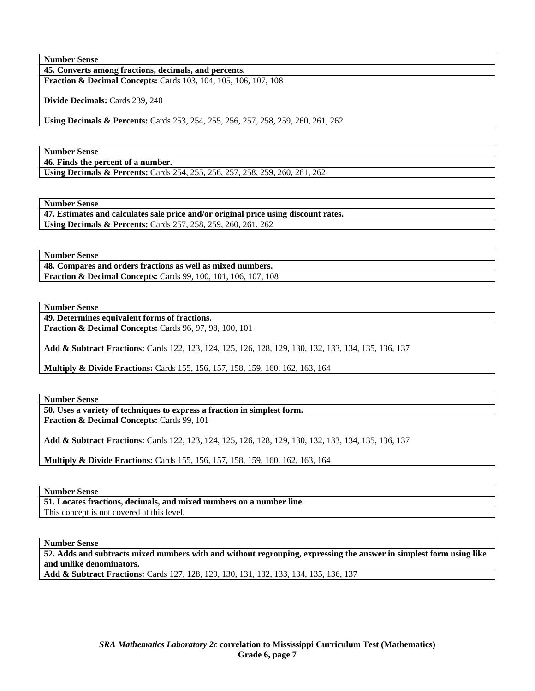**45. Converts among fractions, decimals, and percents. Fraction & Decimal Concepts:** Cards 103, 104, 105, 106, 107, 108

**Divide Decimals:** Cards 239, 240

**Using Decimals & Percents:** Cards 253, 254, 255, 256, 257, 258, 259, 260, 261, 262

**Number Sense** 

**46. Finds the percent of a number.** 

**Using Decimals & Percents:** Cards 254, 255, 256, 257, 258, 259, 260, 261, 262

**Number Sense** 

**47. Estimates and calculates sale price and/or original price using discount rates. Using Decimals & Percents:** Cards 257, 258, 259, 260, 261, 262

**Number Sense** 

**48. Compares and orders fractions as well as mixed numbers. Fraction & Decimal Concepts:** Cards 99, 100, 101, 106, 107, 108

**Number Sense** 

**49. Determines equivalent forms of fractions.** 

**Fraction & Decimal Concepts:** Cards 96, 97, 98, 100, 101

**Add & Subtract Fractions:** Cards 122, 123, 124, 125, 126, 128, 129, 130, 132, 133, 134, 135, 136, 137

**Multiply & Divide Fractions:** Cards 155, 156, 157, 158, 159, 160, 162, 163, 164

**Number Sense** 

**50. Uses a variety of techniques to express a fraction in simplest form.** 

**Fraction & Decimal Concepts:** Cards 99, 101

**Add & Subtract Fractions:** Cards 122, 123, 124, 125, 126, 128, 129, 130, 132, 133, 134, 135, 136, 137

**Multiply & Divide Fractions:** Cards 155, 156, 157, 158, 159, 160, 162, 163, 164

**Number Sense** 

**51. Locates fractions, decimals, and mixed numbers on a number line.**  This concept is not covered at this level.

**Number Sense** 

**52. Adds and subtracts mixed numbers with and without regrouping, expressing the answer in simplest form using like and unlike denominators.** 

**Add & Subtract Fractions:** Cards 127, 128, 129, 130, 131, 132, 133, 134, 135, 136, 137